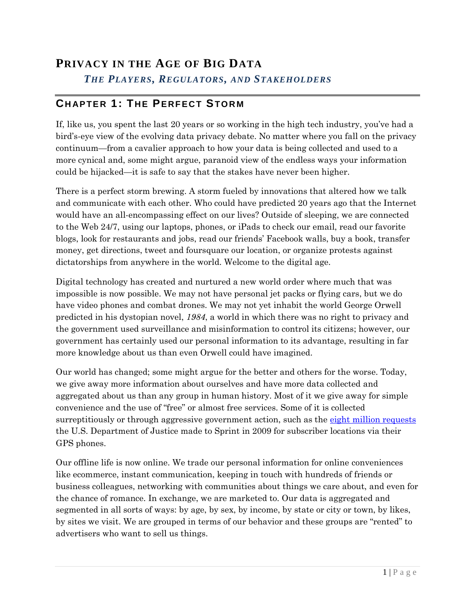# **PRIVACY IN THE AGE OF BIG DATA**

*THE PLAYERS, REGULATORS, AND STAKEHOLDERS*

# **CH AP TE R 1: T HE PERF EC T STO R M**

If, like us, you spent the last 20 years or so working in the high tech industry, you've had a bird's-eye view of the evolving data privacy debate. No matter where you fall on the privacy continuum—from a cavalier approach to how your data is being collected and used to a more cynical and, some might argue, paranoid view of the endless ways your information could be hijacked—it is safe to say that the stakes have never been higher.

There is a perfect storm brewing. A storm fueled by innovations that altered how we talk and communicate with each other. Who could have predicted 20 years ago that the Internet would have an all-encompassing effect on our lives? Outside of sleeping, we are connected to the Web 24/7, using our laptops, phones, or iPads to check our email, read our favorite blogs, look for restaurants and jobs, read our friends' Facebook walls, buy a book, transfer money, get directions, tweet and foursquare our location, or organize protests against dictatorships from anywhere in the world. Welcome to the digital age.

Digital technology has created and nurtured a new world order where much that was impossible is now possible. We may not have personal jet packs or flying cars, but we do have video phones and combat drones. We may not yet inhabit the world George Orwell predicted in his dystopian novel, *1984*, a world in which there was no right to privacy and the government used surveillance and misinformation to control its citizens; however, our government has certainly used our personal information to its advantage, resulting in far more knowledge about us than even Orwell could have imagined.

Our world has changed; some might argue for the better and others for the worse. Today, we give away more information about ourselves and have more data collected and aggregated about us than any group in human history. Most of it we give away for simple convenience and the use of "free" or almost free services. Some of it is collected surreptitiously or through aggressive government action, such as the [eight million requests](http://www.wired.com/threatlevel/2009/12/gps-data/) the U.S. Department of Justice made to Sprint in 2009 for subscriber locations via their GPS phones.

Our offline life is now online. We trade our personal information for online conveniences like ecommerce, instant communication, keeping in touch with hundreds of friends or business colleagues, networking with communities about things we care about, and even for the chance of romance. In exchange, we are marketed to. Our data is aggregated and segmented in all sorts of ways: by age, by sex, by income, by state or city or town, by likes, by sites we visit. We are grouped in terms of our behavior and these groups are "rented" to advertisers who want to sell us things.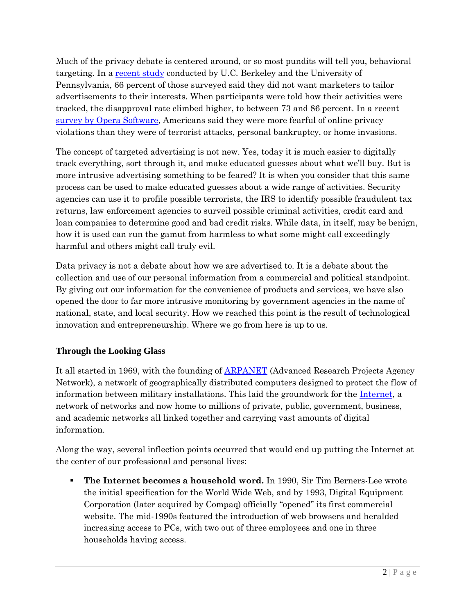Much of the privacy debate is centered around, or so most pundits will tell you, behavioral targeting. In a [recent study](http://www.google.com/hostednews/afp/article/ALeqM5jm38cd0yGVDPXRO1_dohxoq__-rw) conducted by U.C. Berkeley and the University of Pennsylvania, 66 percent of those surveyed said they did not want marketers to tailor advertisements to their interests. When participants were told how their activities were tracked, the disapproval rate climbed higher, to between 73 and 86 percent. In a recent [survey by Opera Software,](http://www.opera.com/press/releases/2011/01/28/) Americans said they were more fearful of online privacy violations than they were of terrorist attacks, personal bankruptcy, or home invasions.

The concept of targeted advertising is not new. Yes, today it is much easier to digitally track everything, sort through it, and make educated guesses about what we'll buy. But is more intrusive advertising something to be feared? It is when you consider that this same process can be used to make educated guesses about a wide range of activities. Security agencies can use it to profile possible terrorists, the IRS to identify possible fraudulent tax returns, law enforcement agencies to surveil possible criminal activities, credit card and loan companies to determine good and bad credit risks. While data, in itself, may be benign, how it is used can run the gamut from harmless to what some might call exceedingly harmful and others might call truly evil.

Data privacy is not a debate about how we are advertised to. It is a debate about the collection and use of our personal information from a commercial and political standpoint. By giving out our information for the convenience of products and services, we have also opened the door to far more intrusive monitoring by government agencies in the name of national, state, and local security. How we reached this point is the result of technological innovation and entrepreneurship. Where we go from here is up to us.

## **Through the Looking Glass**

It all started in 1969, with the founding of [ARPANET](http://en.wikipedia.org/wiki/ARPANET) (Advanced Research Projects Agency Network), a network of geographically distributed computers designed to protect the flow of information between military installations. This laid the groundwork for the [Internet,](http://en.wikipedia.org/wiki/Internet) a network of networks and now home to millions of private, public, government, business, and academic networks all linked together and carrying vast amounts of digital information.

Along the way, several inflection points occurred that would end up putting the Internet at the center of our professional and personal lives:

**The Internet becomes a household word.** In 1990, Sir Tim Berners-Lee wrote the initial specification for the World Wide Web, and by 1993, Digital Equipment Corporation (later acquired by Compaq) officially "opened" its first commercial website. The mid-1990s featured the introduction of web browsers and heralded increasing access to PCs, with two out of three employees and one in three households having access.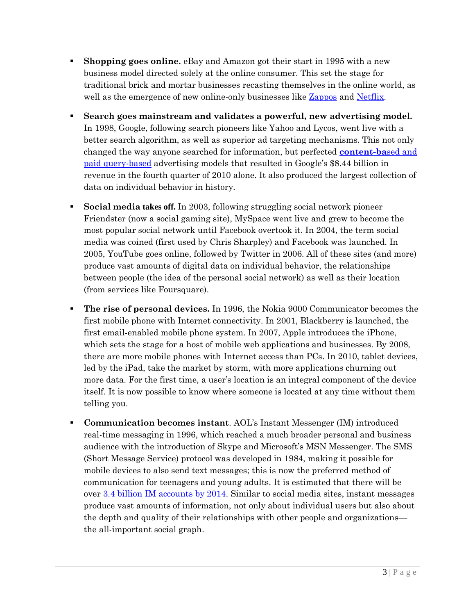- **Shopping goes online.** eBay and Amazon got their start in 1995 with a new business model directed solely at the online consumer. This set the stage for traditional brick and mortar businesses recasting themselves in the online world, as well as the emergence of new online-only businesses like [Zappos](http://www.zappos.com/) and [Netflix.](http://www.netflix.com/)
- **Search goes mainstream and validates a powerful, new advertising model.** In 1998, Google, following search pioneers like Yahoo and Lycos, went live with a better search algorithm, as well as superior ad targeting mechanisms. This not only changed the way anyone searched for information, but perfected **[content-ba](http://digitalenterprise.org/models/models.html)**sed and [paid query-based](http://digitalenterprise.org/models/models.html) advertising models that resulted in Google's \$8.44 billion in revenue in the fourth quarter of 2010 alone. It also produced the largest collection of data on individual behavior in history.
- **Social media takes off.** In 2003, following struggling social network pioneer Friendster (now a social gaming site), MySpace went live and grew to become the most popular social network until Facebook overtook it. In 2004, the term social media was coined (first used by Chris Sharpley) and Facebook was launched. In 2005, YouTube goes online, followed by Twitter in 2006. All of these sites (and more) produce vast amounts of digital data on individual behavior, the relationships between people (the idea of the personal social network) as well as their location (from services like Foursquare).
- **The rise of personal devices.** In 1996, the Nokia 9000 Communicator becomes the first mobile phone with Internet connectivity. In 2001, Blackberry is launched, the first email-enabled mobile phone system. In 2007, Apple introduces the iPhone, which sets the stage for a host of mobile web applications and businesses. By 2008, there are more mobile phones with Internet access than PCs. In 2010, tablet devices, led by the iPad, take the market by storm, with more applications churning out more data. For the first time, a user's location is an integral component of the device itself. It is now possible to know where someone is located at any time without them telling you.
- **Communication becomes instant**. AOL's Instant Messenger (IM) introduced real-time messaging in 1996, which reached a much broader personal and business audience with the introduction of Skype and Microsoft's MSN Messenger. The SMS (Short Message Service) protocol was developed in 1984, making it possible for mobile devices to also send text messages; this is now the preferred method of communication for teenagers and young adults. It is estimated that there will be over [3.4 billion IM accounts by 2014.](http://www.radicati.com/?p=5290) Similar to social media sites, instant messages produce vast amounts of information, not only about individual users but also about the depth and quality of their relationships with other people and organizations the all-important social graph.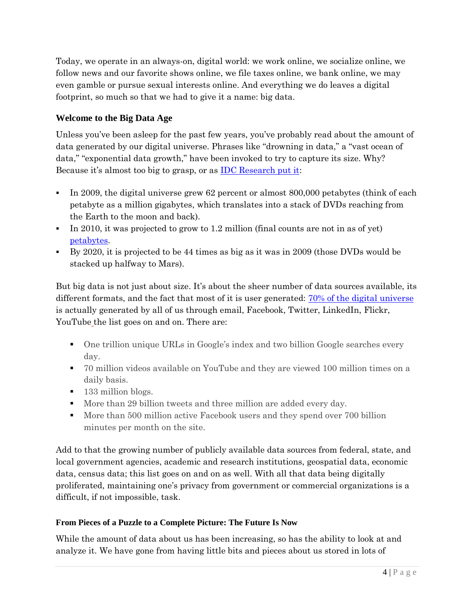Today, we operate in an always-on, digital world: we work online, we socialize online, we follow news and our favorite shows online, we file taxes online, we bank online, we may even gamble or pursue sexual interests online. And everything we do leaves a digital footprint, so much so that we had to give it a name: big data.

## **Welcome to the Big Data Age**

Unless you've been asleep for the past few years, you've probably read about the amount of data generated by our digital universe. Phrases like "drowning in data," a "vast ocean of data," "exponential data growth," have been invoked to try to capture its size. Why? Because it's almost too big to grasp, or as [IDC Research put it:](http://www.emc.com/collateral/demos/microsites/idc-digital-universe/iview.htm)

- In 2009, the digital universe grew 62 percent or almost 800,000 petabytes (think of each petabyte as a million gigabytes, which translates into a stack of DVDs reaching from the Earth to the moon and back).
- In 2010, it was projected to grow to 1.2 million (final counts are not in as of yet) [petabytes.](http://en.wikipedia.org/wiki/Petabytes)
- By 2020, it is projected to be 44 times as big as it was in 2009 (those DVDs would be stacked up halfway to Mars).

But big data is not just about size. It's about the sheer number of data sources available, its different formats, and the fact that most of it is user generated:  $70\%$  of the digital universe is actually generated by all of us through email, Facebook, Twitter, LinkedIn, Flickr, YouTube the list goes on and on. There are:

- One trillion unique URLs in Google's index and two billion Google searches every day.
- 70 million videos available on YouTube and they are viewed 100 million times on a daily basis.
- 133 million blogs.
- More than 29 billion tweets and three million are added every day.
- More than 500 million active Facebook users and they spend over 700 billion minutes per month on the site.

Add to that the growing number of publicly available data sources from federal, state, and local government agencies, academic and research institutions, geospatial data, economic data, census data; this list goes on and on as well. With all that data being digitally proliferated, maintaining one's privacy from government or commercial organizations is a difficult, if not impossible, task.

### **From Pieces of a Puzzle to a Complete Picture: The Future Is Now**

While the amount of data about us has been increasing, so has the ability to look at and analyze it. We have gone from having little bits and pieces about us stored in lots of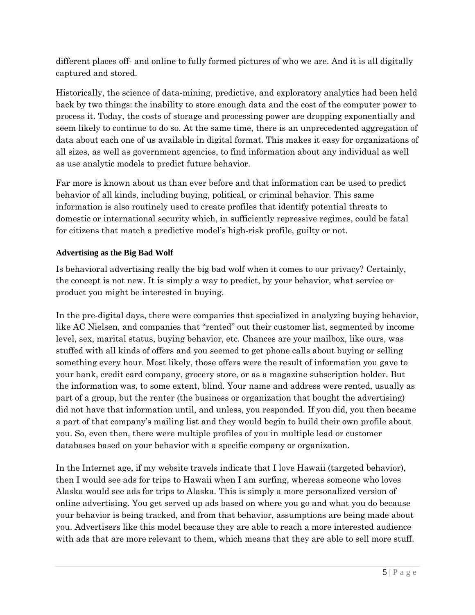different places off- and online to fully formed pictures of who we are. And it is all digitally captured and stored.

Historically, the science of data-mining, predictive, and exploratory analytics had been held back by two things: the inability to store enough data and the cost of the computer power to process it. Today, the costs of storage and processing power are dropping exponentially and seem likely to continue to do so. At the same time, there is an unprecedented aggregation of data about each one of us available in digital format. This makes it easy for organizations of all sizes, as well as government agencies, to find information about any individual as well as use analytic models to predict future behavior.

Far more is known about us than ever before and that information can be used to predict behavior of all kinds, including buying, political, or criminal behavior. This same information is also routinely used to create profiles that identify potential threats to domestic or international security which, in sufficiently repressive regimes, could be fatal for citizens that match a predictive model's high-risk profile, guilty or not.

### **Advertising as the Big Bad Wolf**

Is behavioral advertising really the big bad wolf when it comes to our privacy? Certainly, the concept is not new. It is simply a way to predict, by your behavior, what service or product you might be interested in buying.

In the pre-digital days, there were companies that specialized in analyzing buying behavior, like AC Nielsen, and companies that "rented" out their customer list, segmented by income level, sex, marital status, buying behavior, etc. Chances are your mailbox, like ours, was stuffed with all kinds of offers and you seemed to get phone calls about buying or selling something every hour. Most likely, those offers were the result of information you gave to your bank, credit card company, grocery store, or as a magazine subscription holder. But the information was, to some extent, blind. Your name and address were rented, usually as part of a group, but the renter (the business or organization that bought the advertising) did not have that information until, and unless, you responded. If you did, you then became a part of that company's mailing list and they would begin to build their own profile about you. So, even then, there were multiple profiles of you in multiple lead or customer databases based on your behavior with a specific company or organization.

In the Internet age, if my website travels indicate that I love Hawaii (targeted behavior), then I would see ads for trips to Hawaii when I am surfing, whereas someone who loves Alaska would see ads for trips to Alaska. This is simply a more personalized version of online advertising. You get served up ads based on where you go and what you do because your behavior is being tracked, and from that behavior, assumptions are being made about you. Advertisers like this model because they are able to reach a more interested audience with ads that are more relevant to them, which means that they are able to sell more stuff.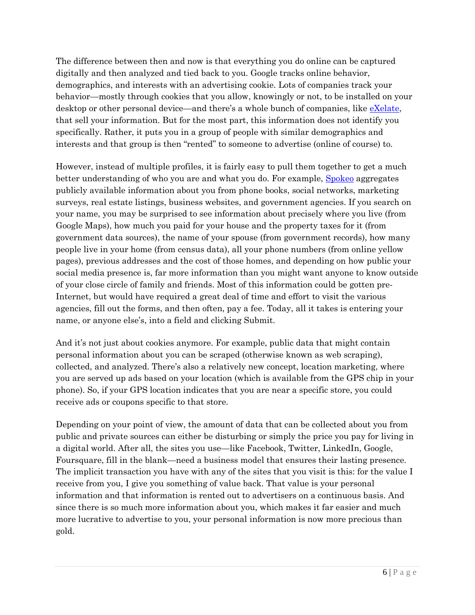The difference between then and now is that everything you do online can be captured digitally and then analyzed and tied back to you. Google tracks online behavior, demographics, and interests with an advertising cookie. Lots of companies track your behavior—mostly through cookies that you allow, knowingly or not, to be installed on your desktop or other personal device—and there's a whole bunch of companies, like [eXelate,](http://exelate.com/new/) that sell your information. But for the most part, this information does not identify you specifically. Rather, it puts you in a group of people with similar demographics and interests and that group is then "rented" to someone to advertise (online of course) to.

However, instead of multiple profiles, it is fairly easy to pull them together to get a much better understanding of who you are and what you do. For example, [Spokeo](http://www.spokeo.com/) aggregates publicly available information about you from phone books, social networks, marketing surveys, real estate listings, business websites, and government agencies. If you search on your name, you may be surprised to see information about precisely where you live (from Google Maps), how much you paid for your house and the property taxes for it (from government data sources), the name of your spouse (from government records), how many people live in your home (from census data), all your phone numbers (from online yellow pages), previous addresses and the cost of those homes, and depending on how public your social media presence is, far more information than you might want anyone to know outside of your close circle of family and friends. Most of this information could be gotten pre-Internet, but would have required a great deal of time and effort to visit the various agencies, fill out the forms, and then often, pay a fee. Today, all it takes is entering your name, or anyone else's, into a field and clicking Submit.

And it's not just about cookies anymore. For example, public data that might contain personal information about you can be scraped (otherwise known as web scraping), collected, and analyzed. There's also a relatively new concept, location marketing, where you are served up ads based on your location (which is available from the GPS chip in your phone). So, if your GPS location indicates that you are near a specific store, you could receive ads or coupons specific to that store.

Depending on your point of view, the amount of data that can be collected about you from public and private sources can either be disturbing or simply the price you pay for living in a digital world. After all, the sites you use—like Facebook, Twitter, LinkedIn, Google, Foursquare, fill in the blank—need a business model that ensures their lasting presence. The implicit transaction you have with any of the sites that you visit is this: for the value I receive from you, I give you something of value back. That value is your personal information and that information is rented out to advertisers on a continuous basis. And since there is so much more information about you, which makes it far easier and much more lucrative to advertise to you, your personal information is now more precious than gold.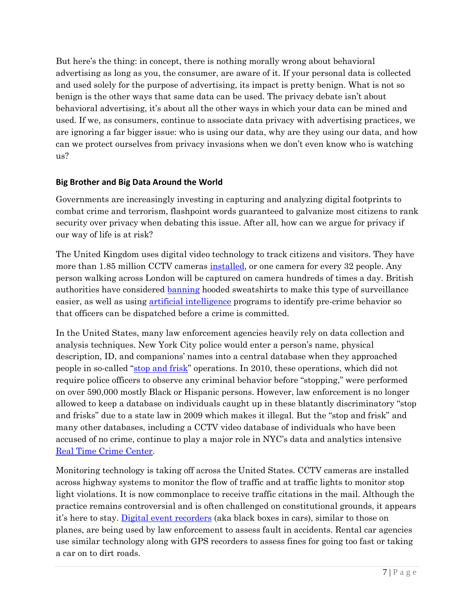But here's the thing: in concept, there is nothing morally wrong about behavioral advertising as long as you, the consumer, are aware of it. If your personal data is collected and used solely for the purpose of advertising, its impact is pretty benign. What is not so benign is the other ways that same data can be used. The privacy debate isn't about behavioral advertising, it's about all the other ways in which your data can be mined and used. If we, as consumers, continue to associate data privacy with advertising practices, we are ignoring a far bigger issue: who is using our data, why are they using our data, and how can we protect ourselves from privacy invasions when we don't even know who is watching us?

### **Big Brother and Big Data Around the World**

Governments are increasingly investing in capturing and analyzing digital footprints to combat crime and terrorism, flashpoint words guaranteed to galvanize most citizens to rank security over privacy when debating this issue. After all, how can we argue for privacy if our way of life is at risk?

The United Kingdom uses digital video technology to track citizens and visitors. They have more than 1.85 million CCTV cameras [installed,](http://www.securitynewsdesk.com/2011/03/01/only-1-8-million-cameras-in-uk-claims-acpo-lead-on-cctv/) or one camera for every 32 people. Any person walking across London will be captured on camera hundreds of times a day. British authorities have considered **banning** hooded sweatshirts to make this type of surveillance easier, as well as using **artificial intelligence** programs to identify pre-crime behavior so that officers can be dispatched before a crime is committed.

In the United States, many law enforcement agencies heavily rely on data collection and analysis techniques. New York City police would enter a person's name, physical description, ID, and companions' names into a central database when they approached people in so-called "[stop and frisk](http://www.nyclu.org/news/nypd-stopped-record-number-of-innocent-new-yorkers-2010-new-stop-and-frisk-numbers-show)" operations. In 2010, these operations, which did not require police officers to observe any criminal behavior before "stopping," were performed on over 590,000 mostly Black or Hispanic persons. However, law enforcement is no longer allowed to keep a database on individuals caught up in these blatantly discriminatory "stop and frisks" due to a state law in 2009 which makes it illegal. But the "stop and frisk" and many other databases, including a CCTV video database of individuals who have been accused of no crime, continue to play a major role in NYC's data and analytics intensive [Real Time Crime Center.](http://www.nytimes.com/2010/02/18/nyregion/18tattoo.html)

Monitoring technology is taking off across the United States. CCTV cameras are installed across highway systems to monitor the flow of traffic and at traffic lights to monitor stop light violations. It is now commonplace to receive traffic citations in the mail. Although the practice remains controversial and is often challenged on constitutional grounds, it appears it's here to stay. [Digital event recorders](http://www.slate.com/id/2087207/) (aka black boxes in cars), similar to those on planes, are being used by law enforcement to assess fault in accidents. Rental car agencies use similar technology along with GPS recorders to assess fines for going too fast or taking a car on to dirt roads.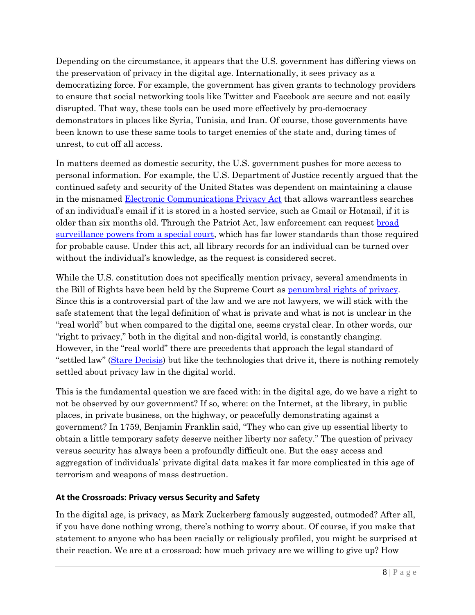Depending on the circumstance, it appears that the U.S. government has differing views on the preservation of privacy in the digital age. Internationally, it sees privacy as a democratizing force. For example, the government has given grants to technology providers to ensure that social networking tools like Twitter and Facebook are secure and not easily disrupted. That way, these tools can be used more effectively by pro-democracy demonstrators in places like Syria, Tunisia, and Iran. Of course, those governments have been known to use these same tools to target enemies of the state and, during times of unrest, to cut off all access.

In matters deemed as domestic security, the U.S. government pushes for more access to personal information. For example, the U.S. Department of Justice recently argued that the continued safety and security of the United States was dependent on maintaining a clause in the misnamed [Electronic Communications Privacy Act](http://en.wikipedia.org/wiki/Electronic_Communications_Privacy_Act) that allows warrantless searches of an individual's email if it is stored in a hosted service, such as Gmail or Hotmail, if it is older than six months old. Through the Patriot Act, law enforcement can request [broad](http://firstmonday.org/htbin/cgiwrap/bin/ojs/index.php/fm/article/view/1198/1118)  [surveillance powers from a special court,](http://firstmonday.org/htbin/cgiwrap/bin/ojs/index.php/fm/article/view/1198/1118) which has far lower standards than those required for probable cause. Under this act, all library records for an individual can be turned over without the individual's knowledge, as the request is considered secret.

While the U.S. constitution does not specifically mention privacy, several amendments in the Bill of Rights have been held by the Supreme Court as [penumbral rights](http://plato.stanford.edu/entries/privacy/) of privacy. Since this is a controversial part of the law and we are not lawyers, we will stick with the safe statement that the legal definition of what is private and what is not is unclear in the "real world" but when compared to the digital one, seems crystal clear. In other words, our "right to privacy," both in the digital and non-digital world, is constantly changing. However, in the "real world" there are precedents that approach the legal standard of "settled law" (Stare [Decisis\)](http://en.wikipedia.org/wiki/Stare_decisis) but like the technologies that drive it, there is nothing remotely settled about privacy law in the digital world.

This is the fundamental question we are faced with: in the digital age, do we have a right to not be observed by our government? If so, where: on the Internet, at the library, in public places, in private business, on the highway, or peacefully demonstrating against a government? In 1759, Benjamin Franklin said, "They who can give up essential liberty to obtain a little temporary safety deserve neither liberty nor safety." The question of privacy versus security has always been a profoundly difficult one. But the easy access and aggregation of individuals' private digital data makes it far more complicated in this age of terrorism and weapons of mass destruction.

## **At the Crossroads: Privacy versus Security and Safety**

In the digital age, is privacy, as Mark Zuckerberg famously suggested, outmoded? After all, if you have done nothing wrong, there's nothing to worry about. Of course, if you make that statement to anyone who has been racially or religiously profiled, you might be surprised at their reaction. We are at a crossroad: how much privacy are we willing to give up? How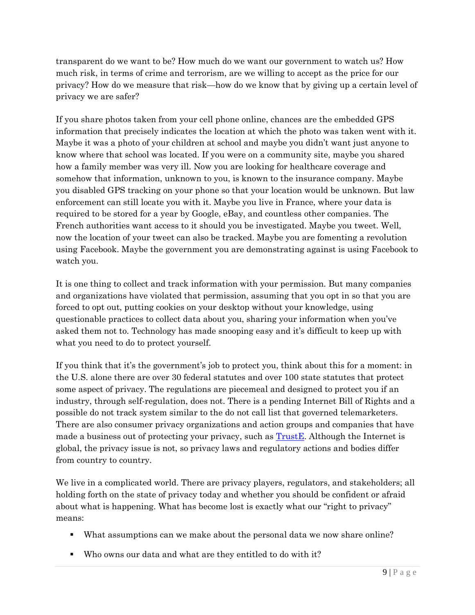transparent do we want to be? How much do we want our government to watch us? How much risk, in terms of crime and terrorism, are we willing to accept as the price for our privacy? How do we measure that risk—how do we know that by giving up a certain level of privacy we are safer?

If you share photos taken from your cell phone online, chances are the embedded GPS information that precisely indicates the location at which the photo was taken went with it. Maybe it was a photo of your children at school and maybe you didn't want just anyone to know where that school was located. If you were on a community site, maybe you shared how a family member was very ill. Now you are looking for healthcare coverage and somehow that information, unknown to you, is known to the insurance company. Maybe you disabled GPS tracking on your phone so that your location would be unknown. But law enforcement can still locate you with it. Maybe you live in France, where your data is required to be stored for a year by Google, eBay, and countless other companies. The French authorities want access to it should you be investigated. Maybe you tweet. Well, now the location of your tweet can also be tracked. Maybe you are fomenting a revolution using Facebook. Maybe the government you are demonstrating against is using Facebook to watch you.

It is one thing to collect and track information with your permission. But many companies and organizations have violated that permission, assuming that you opt in so that you are forced to opt out, putting cookies on your desktop without your knowledge, using questionable practices to collect data about you, sharing your information when you've asked them not to. Technology has made snooping easy and it's difficult to keep up with what you need to do to protect yourself.

If you think that it's the government's job to protect you, think about this for a moment: in the U.S. alone there are over 30 federal statutes and over 100 state statutes that protect some aspect of privacy. The regulations are piecemeal and designed to protect you if an industry, through self-regulation, does not. There is a pending Internet Bill of Rights and a possible do not track system similar to the do not call list that governed telemarketers. There are also consumer privacy organizations and action groups and companies that have made a business out of protecting your privacy, such as  $T_{\text{rustE}}$ . Although the Internet is global, the privacy issue is not, so privacy laws and regulatory actions and bodies differ from country to country.

We live in a complicated world. There are privacy players, regulators, and stakeholders; all holding forth on the state of privacy today and whether you should be confident or afraid about what is happening. What has become lost is exactly what our "right to privacy" means:

- What assumptions can we make about the personal data we now share online?
- Who owns our data and what are they entitled to do with it?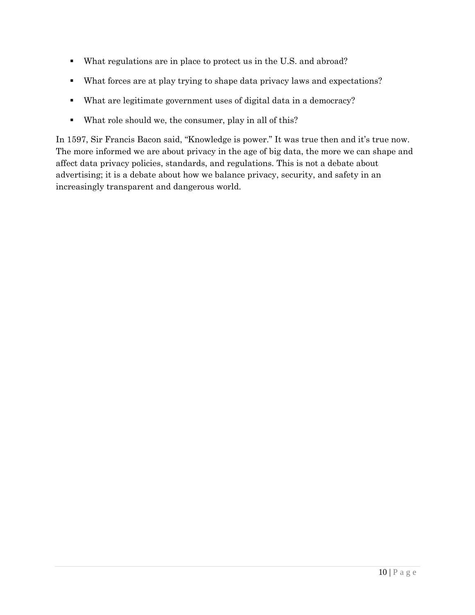- What regulations are in place to protect us in the U.S. and abroad?
- What forces are at play trying to shape data privacy laws and expectations?
- What are legitimate government uses of digital data in a democracy?
- What role should we, the consumer, play in all of this?

In 1597, Sir Francis Bacon said, "Knowledge is power." It was true then and it's true now. The more informed we are about privacy in the age of big data, the more we can shape and affect data privacy policies, standards, and regulations. This is not a debate about advertising; it is a debate about how we balance privacy, security, and safety in an increasingly transparent and dangerous world.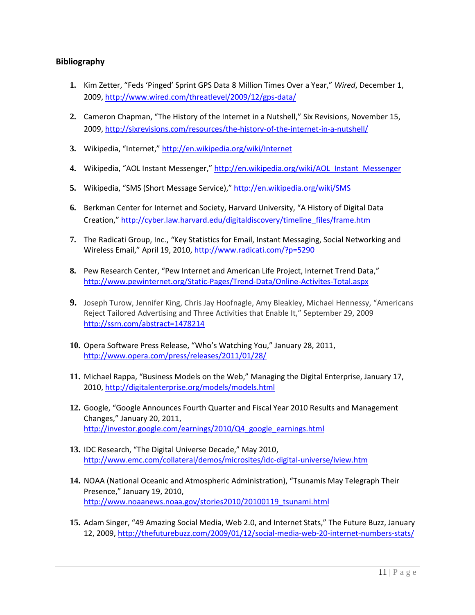#### **Bibliography**

- **1.** Kim Zetter, "Feds 'Pinged' Sprint GPS Data 8 Million Times Over a Year," *Wired*, December 1, 2009[, http://www.wired.com/threatlevel/2009/12/gps-data/](http://www.wired.com/threatlevel/2009/12/gps-data/)
- **2.** Cameron Chapman, "The History of the Internet in a Nutshell," Six Revisions, November 15, 2009[, http://sixrevisions.com/resources/the-history-of-the-internet-in-a-nutshell/](http://sixrevisions.com/resources/the-history-of-the-internet-in-a-nutshell/)
- **3.** Wikipedia, "Internet," <http://en.wikipedia.org/wiki/Internet>
- 4. Wikipedia, "AOL Instant Messenger," [http://en.wikipedia.org/wiki/AOL\\_Instant\\_Messenger](http://en.wikipedia.org/wiki/AOL_Instant_Messenger)
- **5.** Wikipedia, "SMS (Short Message Service)," <http://en.wikipedia.org/wiki/SMS>
- **6.** Berkman Center for Internet and Society, Harvard University, "A History of Digital Data Creation," [http://cyber.law.harvard.edu/digitaldiscovery/timeline\\_files/frame.htm](http://cyber.law.harvard.edu/digitaldiscovery/timeline_files/frame.htm)
- **7.** The Radicati Group, Inc., *"*Key Statistics for Email, Instant Messaging, Social Networking and Wireless Email," April 19, 2010[, http://www.radicati.com/?p=5290](http://www.radicati.com/?p=5290)
- **8.** Pew Research Center, "Pew Internet and American Life Project, Internet Trend Data," <http://www.pewinternet.org/Static-Pages/Trend-Data/Online-Activites-Total.aspx>
- **9.** Joseph Turow, Jennifer King, Chris Jay Hoofnagle, Amy Bleakley, Michael Hennessy, "Americans Reject Tailored Advertising and Three Activities that Enable It," September 29, 2009 <http://ssrn.com/abstract=1478214>
- **10.** Opera Software Press Release, "Who's Watching You," January 28, 2011, <http://www.opera.com/press/releases/2011/01/28/>
- **11.** Michael Rappa, "Business Models on the Web," Managing the Digital Enterprise, January 17, 2010[, http://digitalenterprise.org/models/models.html](http://digitalenterprise.org/models/models.html)
- **12.** Google, "Google Announces Fourth Quarter and Fiscal Year 2010 Results and Management Changes," January 20, 2011, [http://investor.google.com/earnings/2010/Q4\\_google\\_earnings.html](http://investor.google.com/earnings/2010/Q4_google_earnings.html)
- **13.** IDC Research, "The Digital Universe Decade," May 2010, <http://www.emc.com/collateral/demos/microsites/idc-digital-universe/iview.htm>
- **14.** NOAA (National Oceanic and Atmospheric Administration), "Tsunamis May Telegraph Their Presence," January 19, 2010, [http://www.noaanews.noaa.gov/stories2010/20100119\\_tsunami.html](http://www.noaanews.noaa.gov/stories2010/20100119_tsunami.html)
- **15.** Adam Singer, "49 Amazing Social Media, Web 2.0, and Internet Stats," The Future Buzz, January 12, 2009,<http://thefuturebuzz.com/2009/01/12/social-media-web-20-internet-numbers-stats/>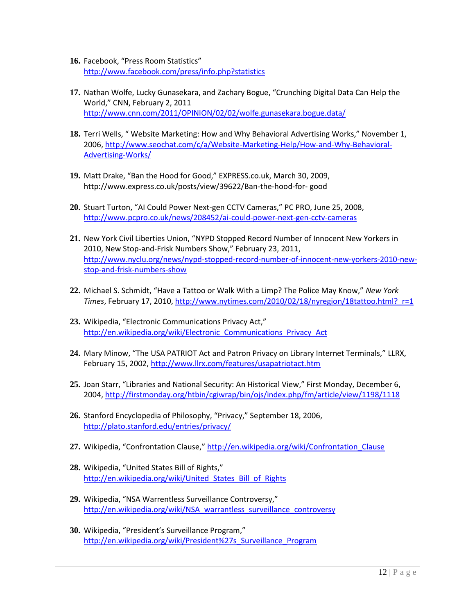- **16.** Facebook, "Press Room Statistics" <http://www.facebook.com/press/info.php?statistics>
- **17.** Nathan Wolfe, Lucky Gunasekara, and Zachary Bogue, "Crunching Digital Data Can Help the World," CNN, February 2, 2011 <http://www.cnn.com/2011/OPINION/02/02/wolfe.gunasekara.bogue.data/>
- **18.** Terri Wells, " Website Marketing: How and Why Behavioral Advertising Works," November 1, 2006[, http://www.seochat.com/c/a/Website-Marketing-Help/How-and-Why-Behavioral-](http://www.seochat.com/c/a/Website-Marketing-Help/How-and-Why-Behavioral-Advertising-Works/)[Advertising-Works/](http://www.seochat.com/c/a/Website-Marketing-Help/How-and-Why-Behavioral-Advertising-Works/)
- **19.** Matt Drake, "Ban the Hood for Good," EXPRESS.co.uk, March 30, 2009, http://www.express.co.uk/posts/view/39622/Ban-the-hood-for- good
- **20.** Stuart Turton, "AI Could Power Next-gen CCTV Cameras," PC PRO, June 25, 2008, <http://www.pcpro.co.uk/news/208452/ai-could-power-next-gen-cctv-cameras>
- **21.** New York Civil Liberties Union, "NYPD Stopped Record Number of Innocent New Yorkers in 2010, New Stop-and-Frisk Numbers Show," February 23, 2011, [http://www.nyclu.org/news/nypd-stopped-record-number-of-innocent-new-yorkers-2010-new](http://www.nyclu.org/news/nypd-stopped-record-number-of-innocent-new-yorkers-2010-new-stop-and-frisk-numbers-show)[stop-and-frisk-numbers-show](http://www.nyclu.org/news/nypd-stopped-record-number-of-innocent-new-yorkers-2010-new-stop-and-frisk-numbers-show)
- **22.** Michael S. Schmidt, "Have a Tattoo or Walk With a Limp? The Police May Know," *New York Times*, February 17, 2010, [http://www.nytimes.com/2010/02/18/nyregion/18tattoo.html?\\_r=1](http://www.nytimes.com/2010/02/18/nyregion/18tattoo.html?_r=1)
- **23.** Wikipedia, "Electronic Communications Privacy Act," [http://en.wikipedia.org/wiki/Electronic\\_Communications\\_Privacy\\_Act](http://en.wikipedia.org/wiki/Electronic_Communications_Privacy_Act)
- **24.** Mary Minow, "The USA PATRIOT Act and Patron Privacy on Library Internet Terminals," LLRX, February 15, 2002,<http://www.llrx.com/features/usapatriotact.htm>
- **25.** Joan Starr, "Libraries and National Security: An Historical View," First Monday, December 6, 2004[, http://firstmonday.org/htbin/cgiwrap/bin/ojs/index.php/fm/article/view/1198/1118](http://firstmonday.org/htbin/cgiwrap/bin/ojs/index.php/fm/article/view/1198/1118)
- **26.** Stanford Encyclopedia of Philosophy, "Privacy," September 18, 2006, <http://plato.stanford.edu/entries/privacy/>
- **27.** Wikipedia, "Confrontation Clause," [http://en.wikipedia.org/wiki/Confrontation\\_Clause](http://en.wikipedia.org/wiki/Confrontation_Clause)
- **28.** Wikipedia, "United States Bill of Rights," http://en.wikipedia.org/wiki/United States Bill of Rights
- **29.** Wikipedia, "NSA Warrentless Surveillance Controversy," [http://en.wikipedia.org/wiki/NSA\\_warrantless\\_surveillance\\_controversy](http://en.wikipedia.org/wiki/NSA_warrantless_surveillance_controversy)
- **30.** Wikipedia, "President's Surveillance Program," [http://en.wikipedia.org/wiki/President%27s\\_Surveillance\\_Program](http://en.wikipedia.org/wiki/President%27s_Surveillance_Program)